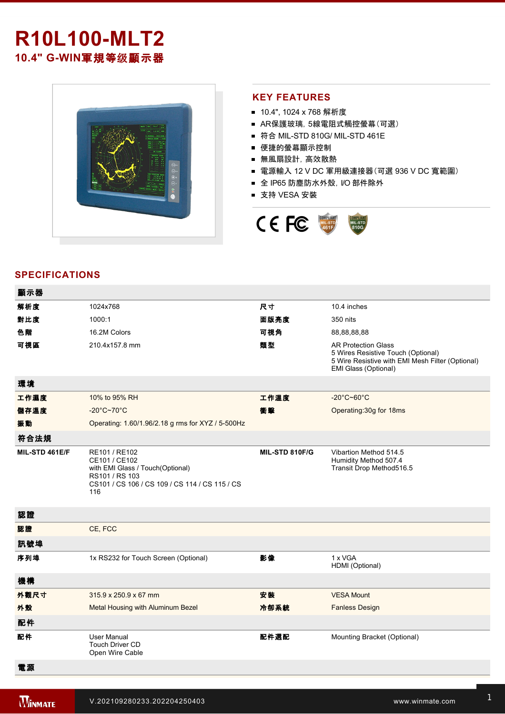# **R10L100-MLT2** 10.4" G-WIN軍規等级顯示器



#### **KEY FEATURES**

- 10.4", 1024 x 768 解析度
- AR保護玻璃,5線電阻式觸控螢幕(可選)
- 符合 MIL-STD 810G/ MIL-STD 461E
- 便捷的螢幕顯示控制
- 無風扇設計,高效散熱
- 電源輸入 12 V DC 軍用級連接器(可選 936 V DC 寬範圍)
- 全 IP65 防塵防水外殼, I/O 部件除外
- 支持 VESA 安裝



## **SPECIFICATIONS**

| 顯示器            |                                                                                                                                               |                |                                                                                                                                              |
|----------------|-----------------------------------------------------------------------------------------------------------------------------------------------|----------------|----------------------------------------------------------------------------------------------------------------------------------------------|
| 解析度            | 1024x768                                                                                                                                      | 尺寸             | 10.4 inches                                                                                                                                  |
| 對比度            | 1000:1                                                                                                                                        | 面版亮度           | 350 nits                                                                                                                                     |
| 色階             | 16.2M Colors                                                                                                                                  | 可視角            | 88,88,88,88                                                                                                                                  |
| 可視區            | 210.4x157.8 mm                                                                                                                                | 類型             | <b>AR Protection Glass</b><br>5 Wires Resistive Touch (Optional)<br>5 Wire Resistive with EMI Mesh Filter (Optional)<br>EMI Glass (Optional) |
| 環境             |                                                                                                                                               |                |                                                                                                                                              |
| 工作濕度           | 10% to 95% RH                                                                                                                                 | 工作溫度           | $-20^{\circ}$ C~60 $^{\circ}$ C                                                                                                              |
| 儲存溫度           | $-20^{\circ}$ C~70 $^{\circ}$ C                                                                                                               | 衝擊             | Operating: 30g for 18ms                                                                                                                      |
| 振動             | Operating: 1.60/1.96/2.18 g rms for XYZ / 5-500Hz                                                                                             |                |                                                                                                                                              |
| 符合法規           |                                                                                                                                               |                |                                                                                                                                              |
| MIL-STD 461E/F | RE101 / RE102<br>CE101 / CE102<br>with EMI Glass / Touch(Optional)<br>RS101 / RS 103<br>CS101 / CS 106 / CS 109 / CS 114 / CS 115 / CS<br>116 | MIL-STD 810F/G | Vibartion Method 514.5<br>Humidity Method 507.4<br>Transit Drop Method516.5                                                                  |
| 認證             |                                                                                                                                               |                |                                                                                                                                              |
| 認證             | CE, FCC                                                                                                                                       |                |                                                                                                                                              |
| 訊號埠            |                                                                                                                                               |                |                                                                                                                                              |
| 序列埠            | 1x RS232 for Touch Screen (Optional)                                                                                                          | 影像             | 1 x VGA<br>HDMI (Optional)                                                                                                                   |
| 機構             |                                                                                                                                               |                |                                                                                                                                              |
| 外觀尺寸           | 315.9 x 250.9 x 67 mm                                                                                                                         | 安装             | <b>VESA Mount</b>                                                                                                                            |
| 外殼             | Metal Housing with Aluminum Bezel                                                                                                             | 冷卻系統           | <b>Fanless Design</b>                                                                                                                        |
| 配件             |                                                                                                                                               |                |                                                                                                                                              |
| 配件             | <b>User Manual</b><br><b>Touch Driver CD</b><br>Open Wire Cable                                                                               | 配件選配           | Mounting Bracket (Optional)                                                                                                                  |
| 電源             |                                                                                                                                               |                |                                                                                                                                              |